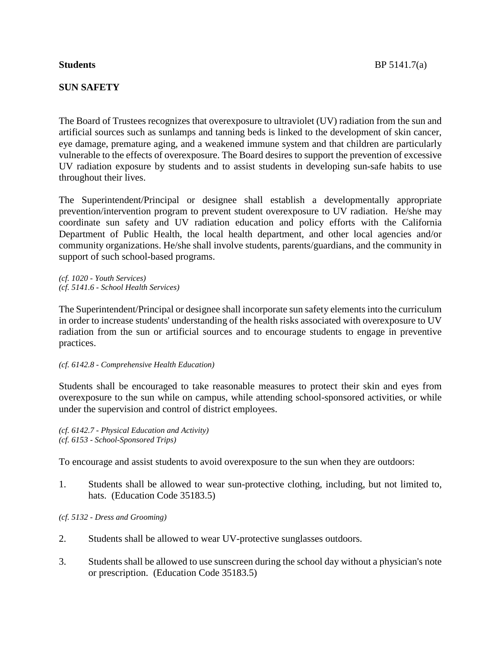## **SUN SAFETY**

The Board of Trustees recognizes that overexposure to ultraviolet (UV) radiation from the sun and artificial sources such as sunlamps and tanning beds is linked to the development of skin cancer, eye damage, premature aging, and a weakened immune system and that children are particularly vulnerable to the effects of overexposure. The Board desires to support the prevention of excessive UV radiation exposure by students and to assist students in developing sun-safe habits to use throughout their lives.

The Superintendent/Principal or designee shall establish a developmentally appropriate prevention/intervention program to prevent student overexposure to UV radiation. He/she may coordinate sun safety and UV radiation education and policy efforts with the California Department of Public Health, the local health department, and other local agencies and/or community organizations. He/she shall involve students, parents/guardians, and the community in support of such school-based programs.

*(cf. 1020 - Youth Services) (cf. 5141.6 - School Health Services)*

The Superintendent/Principal or designee shall incorporate sun safety elements into the curriculum in order to increase students' understanding of the health risks associated with overexposure to UV radiation from the sun or artificial sources and to encourage students to engage in preventive practices.

*(cf. 6142.8 - Comprehensive Health Education)*

Students shall be encouraged to take reasonable measures to protect their skin and eyes from overexposure to the sun while on campus, while attending school-sponsored activities, or while under the supervision and control of district employees.

*(cf. 6142.7 - Physical Education and Activity) (cf. 6153 - School-Sponsored Trips)*

To encourage and assist students to avoid overexposure to the sun when they are outdoors:

- 1. Students shall be allowed to wear sun-protective clothing, including, but not limited to, hats. (Education Code 35183.5)
- *(cf. 5132 - Dress and Grooming)*
- 2. Students shall be allowed to wear UV-protective sunglasses outdoors.
- 3. Students shall be allowed to use sunscreen during the school day without a physician's note or prescription. (Education Code 35183.5)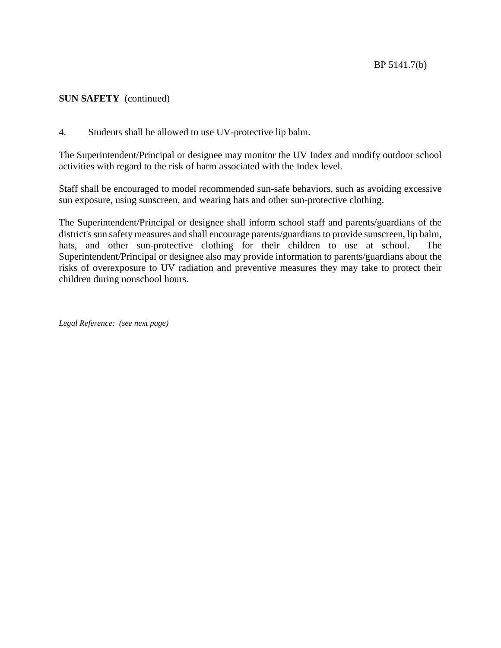## **SUN SAFETY** (continued)

4. Students shall be allowed to use UV-protective lip balm.

The Superintendent/Principal or designee may monitor the UV Index and modify outdoor school activities with regard to the risk of harm associated with the Index level.

Staff shall be encouraged to model recommended sun-safe behaviors, such as avoiding excessive sun exposure, using sunscreen, and wearing hats and other sun-protective clothing.

The Superintendent/Principal or designee shall inform school staff and parents/guardians of the district's sun safety measures and shall encourage parents/guardians to provide sunscreen, lip balm, hats, and other sun-protective clothing for their children to use at school. The Superintendent/Principal or designee also may provide information to parents/guardians about the risks of overexposure to UV radiation and preventive measures they may take to protect their children during nonschool hours.

*Legal Reference: (see next page)*